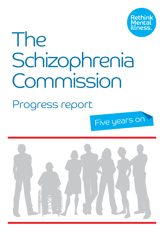

# The Schizophrenia Commission

### Progress report

Five years on

1

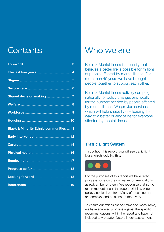### Contents

|                                                    | 3              |
|----------------------------------------------------|----------------|
|                                                    | 4              |
|                                                    | 5              |
|                                                    | 6              |
|                                                    | $\overline{7}$ |
|                                                    | 8              |
|                                                    |                |
|                                                    |                |
|                                                    |                |
| <b>Black &amp; Minority Ethnic communities  11</b> |                |
|                                                    |                |
|                                                    |                |
|                                                    |                |
|                                                    |                |
|                                                    |                |
|                                                    |                |

### Who we are

Rethink Mental Illness is a charity that believes a better life is possible for millions of people affected by mental illness. For more than 40 years we have brought people together to support each other.

Rethink Mental Illness actively campaigns nationally for policy change, and locally for the support needed by people affected by mental illness. We provide services which will help shape lives – leading the way to a better quality of life for everyone affected by mental illness.

#### Traffic Light System

Throughout this report, you will see traffic light icons which look like this:



For the purposes of this report we have rated progress towards the original recommendations as red, amber or green. We recognise that some recommendations in the report exist in a wider policy / societal context. Many of these factors are complex and opinions on them vary.

To ensure our ratings are objective and measurable, we have analysed progress against the specific recommendations within the report and have not included any broader factors in our assessment.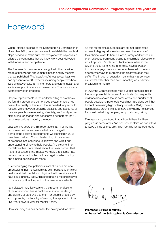#### Foreword

When I started as chair of the Schizophrenia Commission in November 2011, our objective was to establish the practical steps needed to make sure that everyone with psychosis is offered the treatments that we know work best, delivered with kindness and competence.

The fourteen Commissioners brought with them a wide range of knowledge about mental health and by the time that we published *The Abandoned Illness* a year later, we had spoken to over 80 experts, including people who have lived with psychosis, family members and carers, health and social care practitioners and researchers. Thousands more submitted written evidence.

Despite improvements in the understanding of psychosis, we found a broken and demoralised system that did not deliver the quality of treatment that is needed for people to recover. We uncovered appalling statistics and accounts of the care people were receiving. Crucially, we found people clamouring for change and widespread support for the 42 recommendations made by the report.

Just over five years on, this report looks at 11 of the key recommendations and asks: what has changed? Some of the positive developments we identified in 2012 have been built on. Our understanding of the causes of psychosis has continued to improve and with it our understanding of how to help people. At the same time, mental health is more talked about than ever before. That matters because of the impact we know that stigma has, but also because it is the backdrop against which policy and funding decisions are made.

It is encouraging that politicians from all parties are now emphasising that mental health is as important as physical health, and that mental and physical health services should have equal priority. Sadly, this encouraging rhetoric has yet to make a significant impact on the resources available.

I am pleased that, five years on, the recommendations of the Abandoned Illness continue to shape the design and delivery of care and treatment for people affected by schizophrenia, not least by influencing the approach of the Five Year Forward View for Mental Health.

However, progress has been far too patchy and too slow.

As this report sets out, people are still not guaranteed access to high-quality, evidence-based treatments of their choice, close to home. Carers, family and friends are often excluded from contributing to meaningful discussions about options. People from Black communities in the UK and those living in the inner cities have a greater incidence of psychosis and services have yet to develop appropriate ways to overcome the disadvantages they suffer. The impact of austerity means that vital services are stretched further than ever, impacting on workforce provision and morale.

In 2012 the Commission pointed out that cannabis use is the most preventable cause of psychosis. Subsequently, evidence has shown that in some areas one quarter of all people developing psychosis would not have done do if they had not been using high potency cannabis. Sadly, there is little publicity around this, and there are virtually no services focussed on helping people give up their drug taking.

Five years ago, we found that although there had been progress in some areas, "no one should claim we can afford to leave things as they are". That remains far too true today.



Professor Sir Robin Murray on behalf of the Schizophrenia Commission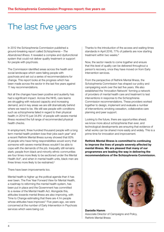### The last five years

In 2012 the Schizophrenia Commission published a ground-breaking report called *Schizophrenia – The Abandoned Illness*. It revealed a complex and dysfunctional system that could not deliver quality treatment or support for people with psychosis.

The Commission identified areas across the health and social landscape which were failing people with pyschosis and set out a series of recommendations for change. This report looks at the progress which has been made across the sector in the last five years against 11 key recommendations.

Not all the changes have been positive and austerity has had a significant impact. Across the NHS, care teams are struggling with reduced capacity and increasing demand, and in key areas we are still dramatically behind where we need to be. We still see people with conditions such as schizophrenia failed in regard to their physical health; in 2014/15 just 34.8%<sup>1</sup> of people with severe mental illness received the full range of recommended physical health checks.

In employment, three hundred thousand people with a long term mental health problem lose their jobs each year<sup>2</sup> and a recent Rethink Mental Illness survey showed that 83% of people who have hiring responsibilities would worry that someone with severe mental illness wouldn't be able to cope with the demands of the job. Inequality still remains stark; people from black and minority ethnic communities are four times more likely to be sectioned under the Mental Health Act<sup>3</sup>, and when in mental health units, black men are three times more likely to be restrained.<sup>4</sup>

There have been improvements too.

Mental health is higher up the poltical agenda than it has ever been. The Five Year Forward View for Mental Health, a roadmap to reforming the mental health system, has been put in place and the Government has committed to a review of the Mental Health Act. Alongside this, attitudes towards mental illness are also improving, with Time to Change estimating that there are 4.1m people whose attitudes have improved.<sup>5</sup> Five years ago, we were concerned at the number of Early Intervention in Psychosis services which were being cut.

Thanks to the introduction of the access and waiting times standards in April 2016, 77% of patients are now starting treatment within two weeks.<sup>6</sup>

Now, the sector needs to come together and ensure that this level of quality can be delivered throughout a person's recovery, once they have moved on from Early Intervention services.

From the perspective of Rethink Mental Illness, the Schziophrenia Commission has shaped our policy and campaigning work over the last five years. We also established the 'Innovation Network' forming a network of providers of mental health care and treatment to test interventions in response to the Schizophrenia Commission recommendations. These providers worked together to design, implement and evaluate a number of interventions; smoking cessation, collaborative care planning and peer support.

Looking to the future, there are opportunities ahead; we know more about schizophrenia than ever, and technological developments are ensuring that evidence of what works can be shared more easily and widely. This is a prime time for innovation and improvement.

Rethink Mental Illness is committed to continuing to improve the lives of people severely affected by mental illness. We are pleased that many of our programmes are leading the way in delivering the recommendations of the Schizophrenia Commission.



#### Danielle Hamm Associate Director of Campaigns and Policy, Rethink Mental Illness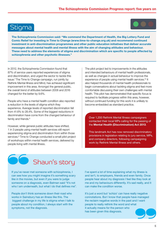#### Stigma



The Schizophrenia Commission said: "We commend the Department of Health, the Big Lottery Fund and Comic Relief for investing in Time to Change (www.time-to-change.org.uk) and recommend continued investment in anti-discrimination programmes and other public education initiatives that deliver accurate messages about mental health and mental illness with the aim of changing attitudes and behaviour. These need to address the elements of stigma and discrimination which are specific to people affected by schizophrenia and other psychotic illnesses."

In 2012, the Schizophrenia Commission found that 87% of service users reported experiences of stigma and discrimination, and urged the sector to tackle this issue.7 The Time to Change campaign, run jointly by Rethink Mental Illness and Mind, has achieved significant improvement in this area. Amongst the general public, the overall trend of attitudes between 2008 and 2016 changed for the better by 9.6%.

People who have a mental health condition also reported a reduction in the levels of stigma which they experience. Average levels of reported discrimination fell from 41.6% to 28.4%. Some of the biggest reductions in discrimination have come from the changed behaviour of family and friends.<sup>8</sup>

However, while general public attitudes have shifted, 1 in 3 people using mental health services still report experiencing stigma and discrimination from within those services.<sup>9</sup> Time to Change conducted a small pilot project of workshops within mental health services, delivered by people living with mental illness.

The pilot project led to improvements in the attitudes and intended behaviours of mental health professionals, as well as changes in actual behaviour to improve the experience of people using mental health services.<sup>10</sup> It also helped thousands of mental health professionals to begin conversations about tackling stigma and feel more comfortable discussing their own challenges with mental health. This pilot has demonstrated that specific focus is required to facilitate progress within this area, however, without continued funding for this work it is unlikely to become embedded as standard practice.

Over 1,200 Rethink Mental Illness campaigners contacted their local MPs calling for the passing of the Mental Health (Discrimination) Act 2013.

This landmark Act has now removed discriminatory provisions in legislation relating to jury service, MPs, and company directors, following campaigning work by Rethink Mental Illness and others.



If you've never met someone with schizophrenia, I can see how you might imagine it's something scary like in the movies, but even if you were to judge someone on a diagnosis, even Batman said "It's not who I am underneath, but what I do that defines me".

People don't think someone down their road who works in Sainsbury has an illness like this. The biggest challenge in my life is stigma when I talk to people about my condition, I always start with the symptoms, not the diagnosis.

I've spent a lot of time explaining what my illness is and isn't, to employers, friends and even family. Once people hear about my diagnosis I feel like they look at me and my behaviours differently. It's sad really, and it can make the condition worse.

It's just a word but 'schizo' can have really negative connotations. But I know that people have managed the reclaim negative words in the past and I want people to really rethink the word and what it actually means for the person who has been given this diagnosis.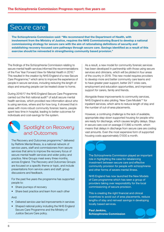#### Secure care



The Schizophrenia Commission said: "We recommend that the Department of Health, with involvement from the Ministry of Justice, requires the NHS Commissioning Board to develop a national commissioning strategy for secure care with the aim of rationalising definitions of security and establishing recovery-focused care pathways through secure care. Savings identified as a result of this exercise should be reinvested in strengthening community based provision."

The findings of the Schizophrenia Commission relating to secure mental health services informed the recommendations of the Five Year Forward View for Mental Health in 2016.11 This resulted in the creation by NHS England of a new Secure Care Programme,<sup>12</sup> which aims to improve the experience of people in secure services, including reducing the length of stays and ensuring people can be treated closer to home.

During 2016/17 the NHS England Secure Care Programme carried out the first national audit<sup>13</sup> of adult secure mental health services, which provided new information about who is using services, where and for how long. It showed that in areas with more robust community forensic teams, people spent less time in hospital, leading to better outcomes for individuals and cost-savings for the system.



#### Spotlight on Recovery and Outcomes

The Recovery and Outcomes programme,<sup>15</sup> delivered by Rethink Mental Illness, is a national network of service users, staff and commissioners from secure services that aims to improve the recovery focus of secure mental health services and wider policy and practice. Nine Groups meet every three months, across England. The Recovery and Outcomes Groups are focused on a specific theme or topic, and include presentations from service users and staff, group discussions and feedback.

For the past five years the programme has supported people to:

- Share journeys of recovery
- Share best practice and learn from each other

#### And:

- Delivered service-user led improvements in services
- Shaped national policy including the NHS England Secure Care Programme and the Ministry of Justice Secure Care policy.

As a result, a new model for community forensic services has been developed in partnership with those using secure services and clinicians, which will be piloted in four areas of the country in 2018. This new model requires providers to develop more and better community care teams and to have greater peer support, better 24/7 crisis care, employment and education opportunities, and improved support for carers, family and friends.

Alongside these improvements to community services, NHS England is also piloting 'New Care Models'14 for inpatient services, which aims to reduce length of stay and the number of out-of-area placements.

However, a continuing challenge is the lack of available, appropriate step-down supported housing for people who are ready for discharge, which causes lengthy delays. Stays in secure care cost on average £17,890 a month, which means that delays in discharge from secure care are costing vast amounts. Even the most expensive form of supported housing costs approximately £1000 a month.

The Schizophrenia Commission played an important role in highlighting the case for rebalancing investment between secure care and effective community provision for people with schizophrenia and other forms of severe mental illness.

NHS England has now launched the New Models of Care programme which has seen a group of providers taking over responsibility for the local commissioning of secure provision.

This is creating the right financial and clinical incentives to avoid out of area placements, reduce lengths of stay and reinvest savings in developing locally based services.

Paul Jenkins, Schizophrenia Commission

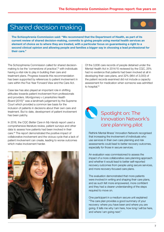#### Shared decision making



The Schizophrenia Commission said: "We recommend that the Department of Health, as part of its current review of shared decision-making, commits to giving people using mental health services an element of choice as to where they are treated, with a particular focus on guaranteeing a right to a second clinical opinion and allowing people and families a bigger say in choosing a lead professional for their care."

The Schizophrenia Commission called for shared decisionmaking to be the 'cornerstone of practice',16 with individuals having a vital role to play in building their care and treatment plans. Progress towards this recommendation has been supported by references to patient involvement in care within the Five Year Forward View and the Care Act.

Case law has also played an important role in shifting attitudes towards patient involvement from professionals and providers. *Montgomery v Lanarkshire Health Board* (2015)<sup>17</sup> was a landmark judgement by the Supreme Court which provided a common law basis for the inclusion of patients in decisions about their own care and treatment. But to date, development of patient involvement has been patchy.

In 2016, the CQC *Better Care in My Hands* report used a comprehensive literature review, patient surveys and other data to assess how patients had been involved in their care.18 The report demonstrated the positive impact of collaborative involvement and the vicious cycle that a lack of patient involvement can create, leading to worse outcomes which make involvement harder.



Of the 3,836 care records of people detained under the Mental Health Act in 2014/15 reviewed by the CQC, 25% had no evidence that patients had been involved at all in developing their care plans, and 32% (964 of 3,000) of the patient records examined did not include a capacity assessment for medication when someone was admitted to hospital.<sup>19</sup>



#### Spotlight on: The Innovation Network's care planning pilot

Rethink Mental Illness' Innovation Network recognised that increasing the involvement of individuals who use services in their own care planning and risk assessments could lead to better recovery outcomes, especially for those in secure services.

An evaluation was commissioned to assess the impact of a more collaborative care planning approach and whether it would lead to better self-reported recovery outcomes from people using secure services, and more recovery-focused care plans.

The evaluation demonstrated that more patients were involved in writing and shaping their care plans, and as such felt more empowered, more confident and they had a clearer understanding of the steps required to move on.

One participant in a medium secure unit explained "The care plan provides a good summary of your recovery: where you have been and where you are going. It tells me why I am here, how long I will be here, and where I am going next."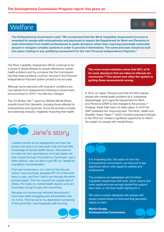#### Welfare

The Schizophrenia Commission said: "We recommend that the Work Capability Assessment process is amended for people with schizophrenia and psychosis to require the Department for Work and Pensions to seek information from health professionals to guide decisions rather than requiring potentially vulnerable people to navigate complex systems in order to provide it themselves. The same principle should be built into plans relating to any qualifying assessment for the new Personal Independence Payment."

The Work Capability Assessment (WCA) continues to be a cause of severe distress to people affected by mental health problems and the concerns that the Commission had that these problems could be mirrored in the Personal Independence Payment system proved to be accurate.

Although some claimants with long term conditions are now exempt from reassessment following a Government announcement in 2016,<sup>20</sup> too little has changed.

The *'It's Broken Her'*21 report by Rethink Mental Illness recently found that claimants, including those affected by schizophrenia and psychosis, found the process complex and extremely stressful, negatively impacting their health.

# **J**ane's story

I waited months for an assessment and then the person carrying it out was quite rude and had little knowledge of mental health issues. She seemed to make her own assumptions and had clearly not even looked through the evidence. Eventually I got a letter stating I was not able to get PIP, so I asked for mandatory reconsideration.

That was turned down, so I went to the tribunal, where I was eventually awarded PIP. All of this took about a year, and then I had to go through the entire process again. This has caused me a great deal of stress. It's made my mental health decline a lot as I have been trying to cope with everything.

Because my income was reduced dramatically I have been really struggling and will probably lose my home. This has led to my depression worsening to the point that I was frequently self-harming.



The most recent statistics show that 60% of fit for work decisions that are taken to tribunal are overturned.<sup>22</sup> This shows how often the system is getting these assessments wrong.

In 2014, an Upper Tribunal found that the WCA places people with mental health problems at a 'substantial disadvantage' and urged the Department for Work and Pensions (DWP) to trial changes to the process.<sup>23</sup> However, these trials have not taken place. In 2016 the DWP published the *'Improving lives: The Work, Health and Disability Green Paper'*24 which included proposed changes to the WCA but missed a significant opportunity to reform the system for people with mental illness.

It is frustrating that, five years on from the Schizophrenia Commission, we have yet to see significant reform with regard to welfare and employment.

The problems we highlighted with the Work Capability Assessment still exist, which means that many applicants are wrongly denied the support they need, or risk their health fighting for it.

We need a system designed with people with severe mental illness in mind and that genuinely listens to them.

Martin Knapp, Schizophrenia Commission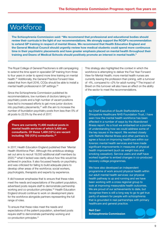#### **Workforce**



The Schizophrenia Commission said: "We recommend that professional and educational bodies should review their curricula in the light of our recommendations. We strongly support the RCGP's recommendation to extend GP training in respect of mental illness. We recommend that Health Education England and the General Medical Council should urgently review how medical students could spend more continuous time in their psychiatric placements and have greater emphasis placed on mental health throughout their training and Deans of Medical Schools should positively promote an interest in mental health."

The Royal College of General Practioners is still campaigning to extend the time spent in specialist GP training from three to four years in order to spend more time training on mental health.25 Additionally, the General Practice Forward View stated that from April 2016, CCGs should be able to install a mental health professional in GP settings.26

Since the Schizophrenia Commission published its recommendations, low numbers of doctors taking on psychiatry posts and a high number of vacant positions have led to increased efforts to get more junior doctors into psychiatry placements, $27$  with the aim to increase the number of foundation psychiatry posts from less than 5% of all posts to 22.5% by the end of 2017.

There are currently 11,400 medical posts in mental health services of which 5,400 are consultants. Of these 1,400 (12%) are vacant including 700 (13%) consultants.<sup>28</sup>

In 2017, Health Education England published their 'Mental Health Workforce Plan'. Although this ambitious strategy set out aims to recruit 19,000 additional staff members by 2020,29 what it lacked was clarity about *how* this would be achieved in practice. It also focussed heavily on psychiatry, and was criticised for failing to build adequate plans to develop other areas of the workforce; social workers, psychologists, therapists and experts by experience.

It did however emphasise that to ensure that these roles meet the needs and expectations of the patient population, advertised posts require staff to demonstrate partnership working and co-production principles.30 Health Education England should continue to work on development plans for the workforce alongside partners representing the full range of roles.

To ensure that these roles meet the needs and expectations of the patient population, advertised posts require staff to demonstrate partnership working and co-production principles.31

This strategy also highlighted the context in which the workforce is attempting to deliver the Five Year Forward View for Mental Health; more mental health nurses are currently leaving the profession than joining, with a turnover of  $-4\%$ , compared to  $+2\%$  for adult nursing.<sup>32</sup> The impact of Brexit on this turnover will also have an effect on the ability of the sector to meet the recommendations.

As Chief Executive of South Staffordshire and Shropshire Healthcare NHS Foundation Trust, I have seen how the mental health workforce has been affected in a number of ways by the Abandoned Illness report. As a trust we embarked on a journey of understanding how we could address some of the key issues in the report. We worked closely with Rethink Mental Illness and other partners to agree a focus on improving healthcare within our forensic mental health services and have made significant improvements in measures of physical health improvement (such as weight loss and smoking cessation). Service users and staff have worked together to embed changes in co-produced recovery college programmes.

We have also developed an independent programme of work around physical health within our adult mental health services: our physical health pathway is up and running and we have been working with a cross regional group to look at improving measurable health outcomes. We are proud of our achievements to date, but recognise there is still a long way to go to get true parity of esteem for people with schizophrenia that is grounded in real partnerships with primary healthcare and general practice.

Neil Carr Schizophrenia Commission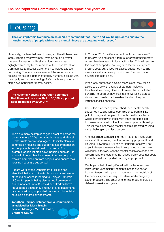#### Housing



The Schizophrenia Commission said: "We recommend that Health and Wellbeing Boards ensure the housing needs of people with severe mental illness are adequately addressed."

Historically, the links between housing and health have been largely ignored by government, even as housing overall has seen increasing political attention in recent years, highlighted recently by the rebrand of the Department for Communities and Local Government to include a focus on housing. The lack of awareness of the importance of housing for health is demonstrated by numerous issues with the supply and commissioning of affordable supported and step-down housing for mental health.

The National Housing Federation estimates that there will be a shortfall of 35,000 supported housing places by 2020/21.34

There are many examples of good practice across the country where CCGs, Local Authorities and Mental Health Trusts are working together to jointly plan and commission housing and supported accommodation for people with mental health problems. For example, specialist step down housing such as Tile House in London has been used to move people who are homeless on from hospital and ensure their housing needs are supported.

Recent work by the Department of Health has identified that a lack of suitable housing can be one of the major issues in leading to Delayed Transfers of Care for people being discharged from mental health inpatient units. Sheffield and Bradford have reduced bed occupancy and out of area placements by commissioning supported housing and specialist housing discharge arrangements.

Jonathan Phillips, Schizophrenia Commission, as advised by Mark Trewin, Service Manager Mental Health, Bradford Council

In October 2017 the Government published proposals<sup>33</sup> to devolve funding of short-term supported housing (stays of less than two years) to local authorities. This will remove this type of supported housing from the welfare system entirely. Local authorities will assess supported housing needs as well as current provision and form supported housing strategic plans.

When local authorities develop these plans, they will be asked to do so with a range of partners, including Health and Wellbeing Boards. However, the consultation contains no detail on how Health and Wellbeing Boards should be consulted or the extent to which they can influence local authorities.

Under this proposed system, short-term mental health supported housing will be commissioned from a finite pot of money and people with mental health problems will be competing with those with other problems (e.g. homelessness or addiction) to access supported housing. This will make accessing mental health supported housing more challenging and less secure.

After sustained campaigning Rethink Mental Illness were successful in ensuring that the previously proposed Local Housing Allowance (LHA) cap to Housing Benefit will not apply to tenants in mental health supported housing. We will continue to work with the mental health sector and the Government to ensure that the revised policy does not apply to mental health supported housing as proposed.

Our hope is that Housing Benefit will continue to cover rents for the vast majority of mental health supported housing tenants, with a new model introduced outside of the benefits system for very short-term and emergency accommodation. The timeframe for this model should be defined in weeks, not years.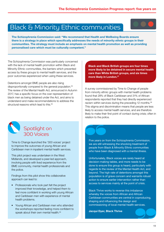#### Black & Minority Ethnic communities



The Schizophrenia Commission was particularly concerned with the lack of mental health promotion within Black and Minority Ethnic communities, the barriers which prevented access by these groups to mental health services, and the poor outcomes experienced when using these services.

Detentions amongst BME people are also rising disproportionally compared to the general population.<sup>35</sup> The review of the Mental Health Act, announced in Autumn 2017, has a specific focus on the over representation of black men as being detained under the Act, and aims to understand and make recommendations to address the structural reasons which lead to this.<sup>36</sup>

Black and Black British groups are four times more likely to be detained in secure mental health care than White British groups, and six times more likely in London.<sup>37</sup>

A survey commissioned by Time to Change of people from minority ethnic groups with mental health problems found that 28% of Black Caribbean and 31% of African respondents reported that they had directly experienced racism within services during the preceding 12 months.<sup>38</sup> This stigma and discrimination means that people are less likely to access mental health services, and are therefore likely to make their first point of contact during crisis; often in relation to the police.



#### Spotlight on 300 Voices

Time to Change launched the '300 voices' project to improve the outcomes of young African and Caribbean men in inpatient mental health services.

This pilot project was undertaken in the West Midlands, and developed a peer-led approach, involving people with lived experience from the BME community, mental health professionals and the police.

Findings from this pilot show this collaborative approach can lead to:

- Professionals who took part felt the project improved their knowledge, and helped them to feel more confident in working with young African and Caribbean men with experience of mental health problems.
- Young African and Caribbean men who attended the workshops reported feeling more confident to speak about their own mental health.<sup>39</sup>

Five years on from the Schizophrenia Commission, we are still witnessing the shocking treatment of people from Black & Minority Ethnic communities who have been diagnosed with a mental illness.

Unfortunately, Black voices are rarely heard at decision-making tables, and more needs to be done to ensure this group is heard, particularly with regards to the review of the Mental Health Act, and beyond. The high rate of detentions amongst this population is of grave concern and warrants robust action to ensure earlier intervention rather than access to services mainly at the point of crisis.

Black Thrive works to reverse this imbalance whereby the voices from African and African Caribbean communities are central in coproducing, shaping and influencing the design and commissioning of local mental health services.

Jacqui Dyer, Black Thrive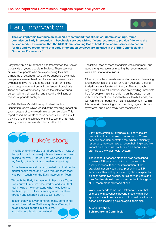#### Early intervention



The Schizophrenia Commission said: "We recommend that all Clinical Commissioning Groups commission Early Intervention in Psychosis services with sufficient resources to provide fidelity to the service model. It is crucial that the NHS Commissioning Board holds local commissioners to account for this and we recommend that early intervention services are included in the NHS Commissioning Outcomes Framework."

Early Intervention in Psychosis has transformed the lives of thousands of young people in England. These services are aimed at people who are experiencing their first symptoms of psychosis, who will be supported by a multidisciplinary team of health and social care professionals. Evidence shows that this is the best model for helping young people recover from a first episode of psychosis. These services dramatically reduce the risk of a young person taking their own life, and save the NHS tens of millions of pounds each year.

In 2014 Rethink Mental Illness published the Lost Generation report, which looked at the troubling impact on young people of cuts to early intervention services. This report raised the profile of these services and, as a result, they are one of the subjects of the first ever mental health waiting time and access standards in the NHS.

## **C** Luke's story

I had been to university but I dropped out. It was at that point that I had a major breakdown when I went missing for over 24 hours. That was what alerted my family to the fact that something wasn't right.

From there mum and dad suggested that I talk to the mental health team, and it was through them that I was put in touch with the Early Intervention Team.

Through the Early Intervention in Psychosis Team I was put with my first case worker, and yeah that really helped me understand what I was feeling, the build up to it. Understanding what I had been through and just being able to talk about it.

In itself that was a very different thing, something I hadn't done before. So it was quite reaffirming to be able to talk about it in a safe way and with people who understood.

The introduction of these standards was a landmark, and goes a long way towards meeting the recommendation within the *Abandoned Illness*.

Other approaches to early intervention are also developing, and currently a pilot project for 'Open Dialogue' is being trialled in several locations in the UK. This approach originated in Finland, and focusses on providing immediate help for people in a crisis, building on the support of an individual's established social network (family, friends, coworkers etc.), embedding a multi-disciplinary team within this network, developing a common language to discuss symptoms, and a shift away from medication.<sup>40</sup>

Early Intervention in Psychosis (EIP) services are one of the big successes of recent years. These services have demonstrated that when sufficiently resourced, they can have an overwhelmingly positive impact on service user outcomes and can deliver savings to the wider health system.

The recent EIP access standard was established to ensure EIP services continue to deliver high quality services. Since the introduction of the standard, not only can those presenting to EIP services with a first episode of psychosis expect to be seen within two weeks, but all service users and their families should have access to the full range of NICE recommended interventions.

Work now needs to be undertaken to ensure that all those with psychosis beyond those with a first episode, have timely access to high quality evidence based care including psychological therapies.

Alison Brabban, Schizophrenia Commission

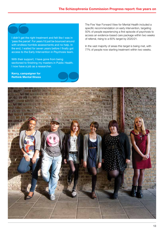I didn't get the right treatment and felt like I was in 'pass the parcel'. For years I'd just be bounced around with endless horrible assessments and no help. In the end, I waited for seven years before I finally got access to the Early Intervention in Psychosis team.

With their support, I have gone from being sectioned to finishing my masters in Public Health. I now have a job as a researcher.

Kerry, campaigner for Rethink Mental Illness

The Five Year Forward View for Mental Health included a specific recommendation on early intervention, targeting 50% of people experiencing a first episode of psychosis to access an evidence-based care package within two weeks of referral, rising to a 60% target by 2020/21.

In the vast majority of areas this target is being met, with 77% of people now starting treatment within two weeks.

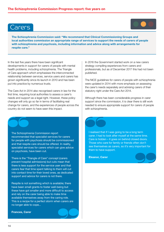#### Carers



The Schizophrenia Commission said: "We recommend that Clinical Commissioning Groups and local authorities commission an appropriate range of services to support the needs of carers of people with schizophrenia and psychosis, including information and advice along with arrangements for respite care."

In the last five years there have been significant developments in support for carers of people with mental health problems, including schizophrenia. The Triangle of Care approach which emphasises the interconnected relationship between services, service users and carers has grown significantly since its launch in 2010 and has been put into practice by numerous trusts.

The Care Act in 2014 also recognised carers in law for the first time, requiring local authorities to assess a carer's needs and support as a legal right. However, these policy changes will only go so far in terms of facilitating real change for carers, and the experiences of people across the country do not seem to have seen this impact.

The Schizophrenia Commission report recommended that specialist services for carers for people with psychosis should be commissioned and that respite care should be offered. In reality, specialist services for carers which can give advice on psychosis, have been cut.

There is the "Triangle of Care" concept (carers prevent hospital admissions) but cuts mean that there is less support for the service user and that carers fear that time spent talking to them will cut into contact time for their loved ones, as dedicated support and advice for carers is not there.

Respite is not something which is available; there have been small grants to foster well-being but these have got smaller and more difficult to access and rely on the carer being able to make time available themselves away from the caring role. This is a recipe for a perfect storm when carers are no longer able to cope...

Frances, Carer

In 2016 the Government started work on a new carers strategy compiling experiences from carers and professionals, but as of December 2017 this had not been published.

The NICE guidelines for carers of people with schizophrenia were updated in 2014 with more emphasis on assessing the carer's needs separately and advising carers of their statutory right under the Care Act 2014.

Although there has been considerable progress in carer support since the commission, it is clear there is still work needed to ensure appropriate support for carers of people with schizophrenia.

I realised that if I was going to be a long term carer, I had to look after myself at the same time. Care is hidden – it goes on behind closed doors. Those who care for family or friends often don't see themselves as carers, so it's very important for them to have support.

Eleanor, Carer

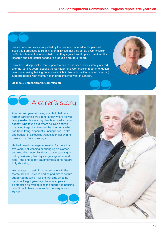I was a carer and was so appalled by the treatment offered to the person I loved that I proposed to Rethink Mental Illness that they set up a Commission on Schizophrenia. It was wonderful that they agreed, set it up and provided the research and secretariat needed to produce a first rate report.

I have been disappointed that support to carers has been inconsistently offered over the last five years, despite the Schizophrenia Commission recommendation. I am now chairing Twining Enterprise which (in line with the Commission's report) supports people with mental health problems into work in London.

#### Liz Meek, Schizophrenia Commission



# **A** carer's story

After several years of being unable to help my former partner (as we did not know where he was living), earlier this year my daughter used a tracing agency, who found out where he lived and we managed to get him to open the door to us – he had been living, apparently unsupported, in filth and squalor in a Housing Association flat with no oven and no floor coverings.

He had been in a deep depression for more than five years, not washing or changing his clothes, and would not open his door to callers, only going out by taxi every few days to get cigarettes and food – the photos my daughter took of his flat are truly shocking.

We managed to get him to re-engage with the Mental Health Services and helped him to secure supported housing – for the first time since he became ill eight years ago, he now appears to be stable: if he were to lose the supported housing now, it could have catastrophic consequences for him."



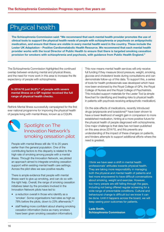#### Physical health



The Schizophrenia Commission said: "We recommend that each mental health provider promotes the use of clinical tools to support the physical health needs of people with schizophrenia or psychosis on antipsychotic medication, and ensure that these are visible in every mental health ward in the country. These include the Lester UK Adaptation – Positive Cardiometabolic Health Resource. We recommend that each mental health provider works with the local Director of Public Health to ensure that there is targeted smoking cessation provision for smokers with schizophrenia and psychosis, with guidance from Public Health England."

The Schizophrenia Commission highlighted the continued overlap between enduring mental and physical illness, and the need for more work in this area to increase the life expectancy of people with schizophrenia.

In 2014/15 just 34.8%<sup>41</sup> of people with severe mental illness on a GP register received the full range of physical health checks.

Rethink Mental Illness successfully campaigned for the first ever national programme for improving the physical health of people living with mental illness, known as a CQUIN.



#### Spotlight on The Innovation Network's smoking cessation pilot

People with mental illness still die 15 to 20 years earlier than the general population. One of the contributing factors to this disparity is related to the high rate of smoking among people with a mental illness. Through the Innovation Network, we piloted an approach aimed to integrate smoking cessation support within existing mental health care settings. Across the pilot sites we saw positive results.

There is ample evidence that people with mental illness want to give up smoking, and can do so with the right help. Overall, the range of smoking cessation initiatives taken by the providers involved in the Innovation Network pilots have led to:

- a reduction overall in those who identify as a 'smoker'. Some organisations had rates as high as 78% before the pilots, down to 23% afterwards, 43
- staff feeling more confident about sharing smoking cessation information (twice as many smokers have been given smoking cessation information).

This now means mental health services will only receive full funding if they measure blood pressure, weight, smoking, glucose and cholesterol levels during consultations and can demonstrate follow-up of this data. To support this, a series of tools for health professionals was developed which have now been endorsed by the Royal College of GPs, the Royal College of Nurses and the Royal College of Psychiatrists. This included support materials for the Lester Tool (a simple flowchart for identifying and treating risks to physical health in patients with psychosis receiving antipsychotic medication).

On the side effects of medications, recently introduced drugs (aripiprazole and lurasidone)<sup>42</sup> have been shown to have a lower likelihood of weight gain in comparison to more established medication, hinting at a more positive future for the physical health of people diagnosed with schizophrenia. One major challenge is that data has not been published on this area since 2014/15, and this prevents any understanding of the impact of these changes on patients, and hinders attempts to support additional efforts where the need is greatest.



I think we have seen a shift in mental health professionals' attitudes towards physical health. They are taking more responsibility in managing both the physical and mental health of patients and feel more empowered to have difficult conversations about smoking, weight and exercise. However, too many people are still falling through the gaps, including not being offered regular screening for a wide range of preventable conditions. Cultural and behavioural change is difficult but we know it can be done. Until it happens across the board, we will keep seeing poor outcomes for patients.

Lade Smith, Schizophrenia Commission

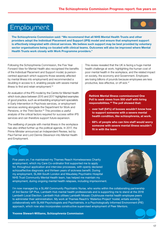#### Employment



The Schizophrenia Commission said: "We recommend that all NHS Mental Health Trusts and other providers adopt the Individual Placement and Support (IPS) model and ensure that employment support is effectively integrated with clinical services. We believe such support may be best provided by voluntary sector organisations being co-located with clinical teams. Outcomes will also be improved where Mental Health Trusts work closely with Work Programme providers."

Following the Schizophrenia Commission, the Five Year Forward View for Mental Health also recognised the benefits of the Individual Placement and Support model; (a personcentred approach which supports those severely affected by mental illness into employment) and recommended a doubling in access to it, enabling people with severe mental illness to find and retain employment.<sup>44</sup>

An evaluation of the IPS model by the Centre for Mental Health which took place between 2015 and 2017 highlighted examples of good practice, such as embedding employment specialists in Early Intervention in Psychosis services, or employment services working alongside the Department for Work and Pensions, or the Third Sector.<sup>45</sup> This provides a useful analysis of the critical factors required for success within IPS services and can therefore support future expansion.

The wellbeing of people with mental illness in the workplace has also shifted further up the political agenda. In 2017, the Prime Minister announced an Independent Review, led by Paul Farmer and Lord Dennis Stevenson into Mental Health and Employment.

This review revealed that the UK is facing a huge mental health challenge at work; highlighting the human cost of poor mental health in the workplace, and the related impact on society, the economy and Government. Employers are losing billions of pounds because employees are less productive, less effective, or off sick.<sup>47</sup>

Rethink Mental Illness commissioned One Poll to seek views from 500 staff with hiring responsibilities.46 The poll showed that:

- over half (54%) of bosses wouldn't know how to support someone with a severe mental health condition, like schizophrenia, at work.
- 68% of people who can hire staff would worry someone with severe mental illness wouldn't fit in with the team

Five years on, I've maintained my Thames Reach Homelessness Charity employment, which my Care Co-ordinator first supported me to apply for, throughout application and interview processes, with openly declared schizoaffective diagnosis; and thirteen years of sickness benefit. During my employment, SLAM-South London and Maudsley Psychiatric Hospital NHS Trust Community Mental Health team, has helped me maintain my employment, during ongoing mental health relapses, including imprisonment.



I'm now managed by a SLAM Community Psychiatric Nurse, who works within the collaborating partnership of 3rd Sector GP Plus, Lambeth Hub mental health professionals and is supporting me to stand at the 2018 Lambeth Local Election. Lambeth Hub utilises Lambeth Mosaic Clubhouse mental health employee peers to administer their administration. My work at Thames Reach's 'Waterloo Project' hostel, entails working collaboratively with SLAM Psychologists and Psychiatrists, in a Psychologically Informed Environment (PIE) approach, which now also incorporates constructive supervised employment of Peer Mentors.

Yvonne Stewart-Williams, Schizophrenia Commission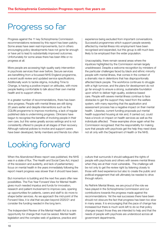### Progress so far

Progress against the 11 key Schizophrenia Commission recommendations reviewed by this report has been patchy. Some areas have seen real improvements, but in others encouraging policy developments have not gone far enough or have yet to lead to substantially improved outcomes. Unfortunately for some areas there has been little or no progress at all.

More people are accessing high-quality early intervention in psychosis services than ever before. Secure services are benefitting from a focussed NHS England programme, a recent audit review and updated service specifications. Additionally work to tackle stigma, including Time to Change, is having a positive impact on attitudes, with more people feeling comfortable to talk about their own mental health and to support others.

In a greater number of recommendations, there has been slow progress. People with mental illness are still dying 20 years earlier and despite interventions such as the CQUIN programme to improve monitoring, a lack of regular published data is undermining progress. Clinicians have begun to recognise the benefits of involving people in their own care, but this varies greatly across settings and is not consistently offered to people at all stages of their recovery. Although national policies to involve and support carers have been developed, family members and friends too often

experience being excluded from important conversations. Successful programmes which support people severely affected by mental illness into employment have been recognised and expanded, but this group is still much less likely to be employed than the wider population.

Unacceptably, there remain several areas where the injustices highlighted by the Commission remain largely unaddressed. Despite a welcome recognition by ministers of the particular challenges faced by black and ethnic minority people with mental illness, that comes in the context of a dramatic rise in detentions that has disproportionally affected black people. The workforce continues to struggle with a high turnover, and the plans for development do not go far enough to ensure a strong, sustainable foundation upon which to deliver high-quality, evidence-based care. People with severe mental illness continue to face obstacles to get the support they need from the welfare system, with many reporting that the application and assessment process has a negative impact on their mental health. Likewise, current funding proposals put mental health supported housing at risk and, if carried out, could have a knock on impact on health services as well as the individuals affected. These examples show again what the Commission recognised: that the responsibility for making sure that people with psychosis get the help they need does not sit only with the Department of Health or the NHS.

### Looking forward

When the *Abandoned Illness* report was published, the NHS was in a state of flux. The Health and Social Care Act, impact of the recession and austerity, and lack of parliamentary focus on mental health in the years immediately following the report meant progress was slower than it should have been.

But momentum is building and the next five years offer new possibilities. The Five Year Forward View for Mental Health gives much needed impetus and funds for innovation, research and patient involvement to improve care, opening up opportunities for patients, carers and staff to do more to shape better services. As we approach the mid-point of the Forward View, it is vital that we plan beyond 2020/21 and consider the funding needed in the long term.

The Independent Review of the Mental Health Act is a rare opportunity for change that must be seized. Mental health legislation and the complex web of guidance, practice and

culture that surrounds it should safeguard the rights of people with psychosis and others with severe mental illness when they are at their most vulnerable. The challenge will be not only to get the review right by listening closely to those with lived experience but also to create the public and political engagement that will ultimately be needed to drive through reform.

As Rethink Mental Illness, we are proud of the role we have played in the Schizophrenia Commission and our contributions towards the progress made against the recommendations. Yet the real successes there have been should not obscure the fact that progress has been too slow in many areas. It is encouraging that the pace of change has increased but there is much work left to do so that policy changes impact those they are intended to help and that the needs of people with psychosis are understood across all government departments.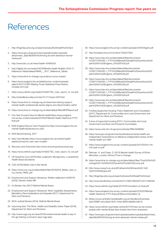### References

- 1. http://fingertips.phe.org.uk/search/physical%20health%20check
- 2. https://www.gov.uk/government/uploads/system/uploads/ attachment\_data/file/658145/thriving-at-work-stevenson-farmerreview.pdf
- 3. http://www.bbc.co.uk/news/health-40495539
- 4. http://digital.nhs.uk/media/34279/Mental-Health-Bulletin-2016-17- Reference-Tables/default/MHB - 1617- Reference Tables
- 5. https://www.time-to-change.org.uk/about-us/our-impact
- 6. https://www.england.nhs.uk/statistics/wp-content/uploads/ sites/2/2017/12/EIP-Waiting-Times-Statistical-Press-Notice-October-2017.pdf
- 7. https://www.rethink.org/media/514093/TSC\_main\_report\_14\_nov.pdf
- 8. http://onlinelibrary.wiley.com/doi/10.1111/acps.12610/full
- 9. https://www.time-to-change.org.uk/news/new-training-supportmental-health-professionals-tackle-stigma-and-discrimination-within
- 10. https://www.time-to-change.org.uk/sites/default/files/MHPReport.pdf
- 11. Five Year Forward View for Mental Healthhttps://www.england. nhs.uk/wp-content/uploads/2016/02/Mental-Health-Taskforce-FYFVfinal.pdf
- 12. NHS England Secure Care Programme https://www.england.nhs.uk/ mental-health/adults/secure-care/
- 13. NHS Benchmarking, 2017
- 14. New Care Models https://www.england.nhs.uk/mental-health/ taskforce/imp/mh-new-care-models/
- 15. Recovery and Outcomes http://www.recoveryandoutcomes.org/
- 16. https://www.rethink.org/media/514093/TSC\_main\_report\_14\_nov.pdf
- 17. UK Supreme Court (2015) New Judgment: Montgomery v Lanarkshire Health Board (Scotland)
- 18. CQC (2016) Better Care in My Hands
- 19. https://www.cqc.org.uk/sites/default/files/20160519\_Better\_care\_in\_ my\_hands\_FINAL.pdf
- 20. Employment and Support Allowance: Written statement HLWS176 (2016), Damien Green MP
- 21. It's Broken Her (2017) Rethink Mental Illness
- 22. Employment and Support Allowance: Work Capability Assessments, Mandatory Reconsiderations and Appeals (2017), Department for Work and Pensions
- 23. WCA Judicial Review (2014), Rethink Mental Illness
- 24. Improving lives: The Work, Health and Disability Green Paper (2016), Department for Work and Pensions
- 25. http://www.rcgp.org.uk/news/2016/october/mental-health-is-key-inthe-gp-training-curriculum-says-rcgp.aspx
- 26. https://www.england.nhs.uk/wp-content/uploads/2016/04/gpfv.pdf
- 27. http://bmjopen.bmj.com/content/7/9/e017584
- 28. https://www.hee.nhs.uk/sites/default/files/documents/ CCS0717505185-1\_FYFV%20Mental%20health%20workforce%20 plan%20for%20England\_v5%283%29.pdf
- 29. https://www.hee.nhs.uk/sites/default/files/documents/ CCS0717505185-1\_FYFV%20Mental%20health%20workforce%20 plan%20for%20England\_v5%283%29.pdf
- 30. https://www.hee.nhs.uk/sites/default/files/documents/ CCS0717505185-1\_FYFV%20Mental%20health%20workforce%20 plan%20for%20England\_v5%283%29.pdf
- 31. https://www.hee.nhs.uk/sites/default/files/documents/ CCS0717505185-1\_FYFV%20Mental%20health%20workforce%20 plan%20for%20England\_v5%283%29.pdf
- 32. https://www.hee.nhs.uk/sites/default/files/documents/ CCS0717505185-1\_FYFV%20Mental%20health%20workforce%20 plan%20for%20England\_v5%283%29.pdf
- 33. Funding Supported Housing: Policy Statement and Consultation (2017), Department for Communities and Local Government and Department for Work and Pensions
- 34. Future of supported housing (2017), Communities and Local Government and Work and Pensions Committees
- 35. https://www.ncbi.nlm.nih.gov/pmc/articles/PMC4846695/
- 36. https://www.gov.uk/government/publications/mental-health-actindependent-review/terms-of-reference-independent-review-of-themental-health-act-1983
- 37. https://www.england.nhs.uk/wp-content/uploads/2017/03/fyfv-mhone-year-on.pdf
- 38. Rehman, H. and Owen, D. (2013) Mental Health Survey of Ethnic Minorities, London: Ethnos/Time to Change
- 39. https://www.time-to-change.org.uk/sites/default/files/Time%20to%20 change%20-%20300%20Voices%20Toolkit%20comp.pdf
- 40. http://www.rcpsych.ac.uk/pdf/Catherine%20Kinane%20-%20 Open%20Dialogue.pdf
- 41. http://fingertips.phe.org.uk/search/physical%20health%20check
- 42. http://www.tandfonline.com/doi/full/10.1080/15622975.2017.1285050
- 43. https://www.rethink.org/media/2317675/innovation-sc-final.pdf
- 44. https://www.england.nhs.uk/wp-content/uploads/2016/02/Mental-Health-Taskforce-FYFV-final.pdf [Recommendation 5]
- 45. [https://www.centreformentalhealth.org.uk/Handlers/Download. ashx?IDMF=a4cc8a24-6051-445e-8639-69a89c1d6112
- 46. https://www.rethink.org/media-centre/2017/07/new-survey-showspeople-with-mental-illness-face-locked-door-from-employers
- 47. https://www.gov.uk/government/uploads/system/uploads/attachment\_ data/file/658145/thriving-at-work-stevenson-farmer-review.pdf